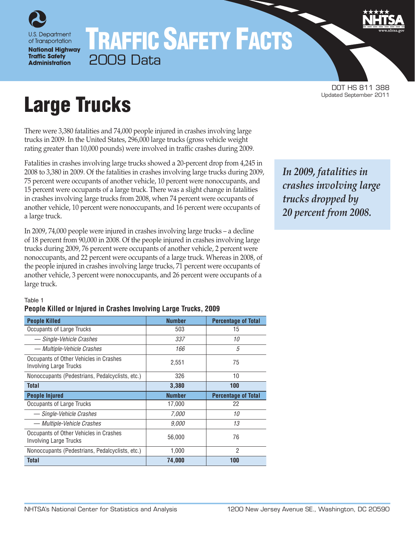

of Transportation **National Highway Traffic Safety Administration** 

## TRAFFIC SAFETY FACTS 2009 Data

DOT HS 811 388

# Large Trucks

There were 3,380 fatalities and 74,000 people injured in crashes involving large trucks in 2009. In the United States, 296,000 large trucks (gross vehicle weight rating greater than 10,000 pounds) were involved in traffic crashes during 2009.

Fatalities in crashes involving large trucks showed a 20-percent drop from 4,245 in 2008 to 3,380 in 2009. Of the fatalities in crashes involving large trucks during 2009, 75 percent were occupants of another vehicle, 10 percent were nonoccupants, and 15 percent were occupants of a large truck. There was a slight change in fatalities in crashes involving large trucks from 2008, when 74 percent were occupants of another vehicle, 10 percent were nonoccupants, and 16 percent were occupants of a large truck.

In 2009, 74,000 people were injured in crashes involving large trucks – a decline of 18 percent from 90,000 in 2008. Of the people injured in crashes involving large trucks during 2009, 76 percent were occupants of another vehicle, 2 percent were nonoccupants, and 22 percent were occupants of a large truck. Whereas in 2008, of the people injured in crashes involving large trucks, 71 percent were occupants of another vehicle, 3 percent were nonoccupants, and 26 percent were occupants of a large truck.

## *In 2009, fatalities in crashes involving large trucks dropped by 20 percent from 2008.*

#### Table 1

#### **People Killed or Injured in Crashes Involving Large Trucks, 2009**

| <b>People Killed</b>                                                    | <b>Number</b> | <b>Percentage of Total</b> |
|-------------------------------------------------------------------------|---------------|----------------------------|
| <b>Occupants of Large Trucks</b>                                        | 503           | 15                         |
| - Single-Vehicle Crashes                                                | 337           | 10                         |
| — Multiple-Vehicle Crashes                                              | 166           | 5                          |
| Occupants of Other Vehicles in Crashes<br><b>Involving Large Trucks</b> | 2,551         | 75                         |
| Nonoccupants (Pedestrians, Pedalcyclists, etc.)                         | 326           | 10                         |
| <b>Total</b>                                                            | 3,380         | 100                        |
|                                                                         |               |                            |
| <b>People Injured</b>                                                   | <b>Number</b> | <b>Percentage of Total</b> |
| Occupants of Large Trucks                                               | 17,000        | 22                         |
| - Single-Vehicle Crashes                                                | 7,000         | 10                         |
| — Multiple-Vehicle Crashes                                              | 9,000         | 13                         |
| Occupants of Other Vehicles in Crashes<br><b>Involving Large Trucks</b> | 56,000        | 76                         |
| Nonoccupants (Pedestrians, Pedalcyclists, etc.)                         | 1,000         | 2                          |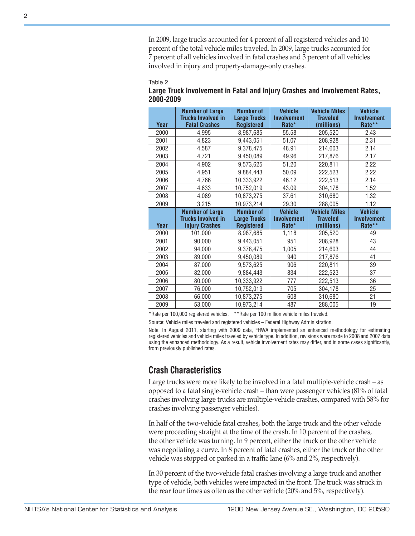#### Table 2

| Table 2<br>2000-2009<br>Year<br>2000<br>2001<br>2002<br>2003<br>2004<br>2005 | Large Truck Involvement in Fatal and Injury Crashes and Involvement Rates,<br><b>Number of Large</b><br><b>Trucks Involved in</b><br><b>Fatal Crashes</b><br>4,995<br>4,823<br>4,587                                                                                                                                                                                                                                                                                                                                              | <b>Number of</b><br><b>Large Trucks</b><br><b>Registered</b><br>8,987,685 | <b>Vehicle</b><br><b>Involvement</b><br>Rate*   | <b>Vehicle Miles</b><br><b>Traveled</b> | <b>Vehicle</b><br><b>Involvement</b> |
|------------------------------------------------------------------------------|-----------------------------------------------------------------------------------------------------------------------------------------------------------------------------------------------------------------------------------------------------------------------------------------------------------------------------------------------------------------------------------------------------------------------------------------------------------------------------------------------------------------------------------|---------------------------------------------------------------------------|-------------------------------------------------|-----------------------------------------|--------------------------------------|
|                                                                              |                                                                                                                                                                                                                                                                                                                                                                                                                                                                                                                                   |                                                                           |                                                 |                                         |                                      |
|                                                                              |                                                                                                                                                                                                                                                                                                                                                                                                                                                                                                                                   |                                                                           |                                                 | (millions)                              | Rate**                               |
|                                                                              |                                                                                                                                                                                                                                                                                                                                                                                                                                                                                                                                   |                                                                           | 55.58                                           | 205,520                                 | 2.43                                 |
|                                                                              |                                                                                                                                                                                                                                                                                                                                                                                                                                                                                                                                   | 9,443,051                                                                 | 51.07                                           | 208,928                                 | 2.31                                 |
|                                                                              |                                                                                                                                                                                                                                                                                                                                                                                                                                                                                                                                   | 9,378,475                                                                 | 48.91                                           | 214,603                                 | 2.14                                 |
|                                                                              | 4,721                                                                                                                                                                                                                                                                                                                                                                                                                                                                                                                             | 9,450,089                                                                 | 49.96                                           | 217,876                                 | 2.17                                 |
|                                                                              | 4,902                                                                                                                                                                                                                                                                                                                                                                                                                                                                                                                             | 9,573,625                                                                 | 51.20                                           | 220,811                                 | 2.22                                 |
|                                                                              | 4,951                                                                                                                                                                                                                                                                                                                                                                                                                                                                                                                             | 9,884,443                                                                 | 50.09                                           | 222,523                                 | 2.22                                 |
| 2006                                                                         | 4,766                                                                                                                                                                                                                                                                                                                                                                                                                                                                                                                             | 10,333,922                                                                | 46.12                                           | 222,513                                 | 2.14                                 |
| 2007                                                                         | 4,633                                                                                                                                                                                                                                                                                                                                                                                                                                                                                                                             | 10,752,019                                                                | 43.09                                           | 304,178                                 | 1.52                                 |
| 2008                                                                         | 4,089                                                                                                                                                                                                                                                                                                                                                                                                                                                                                                                             | 10,873,275                                                                | 37.61                                           | 310,680                                 | 1.32                                 |
| 2009                                                                         | 3,215                                                                                                                                                                                                                                                                                                                                                                                                                                                                                                                             | 10,973,214                                                                | 29.30                                           | 288,005                                 | 1.12                                 |
|                                                                              | <b>Number of Large</b><br><b>Trucks Involved in</b>                                                                                                                                                                                                                                                                                                                                                                                                                                                                               | <b>Number of</b><br><b>Large Trucks</b>                                   | <b>Vehicle</b><br><b>Involvement</b>            | <b>Vehicle Miles</b><br><b>Traveled</b> | <b>Vehicle</b><br>Involvement        |
| Year                                                                         | <b>Injury Crashes</b>                                                                                                                                                                                                                                                                                                                                                                                                                                                                                                             | <b>Registered</b>                                                         | Rate*                                           | (millions)                              | Rate**                               |
| 2000                                                                         | 101,000                                                                                                                                                                                                                                                                                                                                                                                                                                                                                                                           | 8,987,685                                                                 | 1,118                                           | 205,520                                 | 49                                   |
| 2001                                                                         | 90,000                                                                                                                                                                                                                                                                                                                                                                                                                                                                                                                            | 9,443,051                                                                 | 951                                             | 208,928                                 | 43                                   |
| 2002                                                                         | 94,000                                                                                                                                                                                                                                                                                                                                                                                                                                                                                                                            | 9,378,475                                                                 | 1,005                                           | 214,603                                 | 44                                   |
| 2003                                                                         | 89,000                                                                                                                                                                                                                                                                                                                                                                                                                                                                                                                            | 9,450,089                                                                 | 940                                             | 217,876                                 | 41                                   |
| 2004                                                                         | 87,000                                                                                                                                                                                                                                                                                                                                                                                                                                                                                                                            | 9,573,625                                                                 | 906                                             | 220,811                                 | 39                                   |
| 2005                                                                         | 82,000                                                                                                                                                                                                                                                                                                                                                                                                                                                                                                                            | 9,884,443                                                                 | 834                                             | 222,523                                 | 37                                   |
| 2006                                                                         | 80,000                                                                                                                                                                                                                                                                                                                                                                                                                                                                                                                            | 10,333,922                                                                | 777                                             | 222,513                                 | 36                                   |
| 2007                                                                         | 76,000                                                                                                                                                                                                                                                                                                                                                                                                                                                                                                                            | 10,752,019                                                                | 705                                             | 304,178                                 | 25                                   |
| 2008                                                                         | 66,000                                                                                                                                                                                                                                                                                                                                                                                                                                                                                                                            | 10,873,275                                                                | 608                                             | 310,680                                 | 21                                   |
| 2009                                                                         | 53,000                                                                                                                                                                                                                                                                                                                                                                                                                                                                                                                            | 10,973,214                                                                | 487                                             | 288,005                                 | 19                                   |
|                                                                              | *Rate per 100,000 registered vehicles.<br>Source: Vehicle miles traveled and registered vehicles - Federal Highway Administration.<br>Note: In August 2011, starting with 2009 data, FHWA implemented an enhanced methodology for estimating<br>registered vehicles and vehicle miles traveled by vehicle type. In addition, revisions were made to 2008 and 2007 data<br>using the enhanced methodology. As a result, vehicle involvement rates may differ, and in some cases significantly,<br>from previously published rates. |                                                                           | ** Rate per 100 million vehicle miles traveled. |                                         |                                      |
|                                                                              | <b>Crash Characteristics</b><br>Large trucks were more likely to be involved in a fatal multiple-vehicle crash – as<br>opposed to a fatal single-vehicle crash – than were passenger vehicles (81% of fatal<br>crashes involving large trucks are multiple-vehicle crashes, compared with 58% for<br>crashes involving passenger vehicles).<br>In half of the two-vehicle fatal crashes, both the large truck and the other vehicle<br>were proceeding straight at the time of the crash. In 10 percent of the crashes,           |                                                                           |                                                 |                                         |                                      |
|                                                                              | the other vehicle was turning. In 9 percent, either the truck or the other vehicle<br>was negotiating a curve. In 8 percent of fatal crashes, either the truck or the other<br>vehicle was stopped or parked in a traffic lane (6% and 2%, respectively).<br>In 30 percent of the two-vehicle fatal crashes involving a large truck and another<br>type of vehicle, both vehicles were impacted in the front. The truck was struck in<br>the rear four times as often as the other vehicle (20% and 5%, respectively).            |                                                                           |                                                 |                                         |                                      |

#### **Large Truck Involvement in Fatal and Injury Crashes and Involvement Rates, 2000-2009**

## **Crash Characteristics**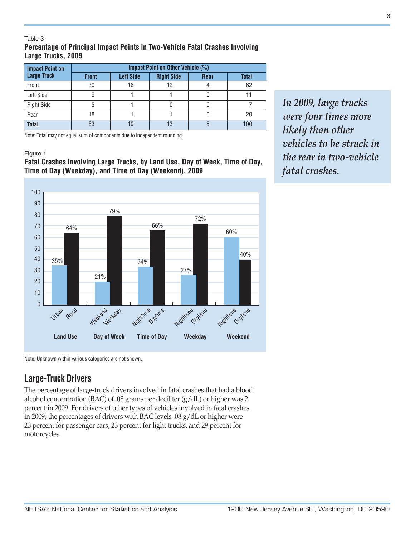#### Table 3 **Percentage of Principal Impact Points in Two-Vehicle Fatal Crashes Involving Large Trucks, 2009**

| <b>Impact Point on</b> | Impact Point on Other Vehicle (%) |                  |                   |             |              |
|------------------------|-----------------------------------|------------------|-------------------|-------------|--------------|
| <b>Large Truck</b>     | <b>Front</b>                      | <b>Left Side</b> | <b>Right Side</b> | <b>Rear</b> | <b>Total</b> |
| Front                  | 30                                | 16               |                   |             | 62           |
| Left Side              |                                   |                  |                   |             |              |
| <b>Right Side</b>      |                                   |                  |                   |             |              |
| Rear                   | 18                                |                  |                   |             | 20           |
| <b>Total</b>           | 63                                | 19               | 13                |             | 100          |

Note: Total may not equal sum of components due to independent rounding.

#### Figure 1

#### **Fatal Crashes Involving Large Trucks, by Land Use, Day of Week, Time of Day, Time of Day (Weekday), and Time of Day (Weekend), 2009**



Note: Unknown within various categories are not shown.

## **Large-Truck Drivers**

The percentage of large-truck drivers involved in fatal crashes that had a blood alcohol concentration (BAC) of .08 grams per deciliter (g/dL) or higher was 2 percent in 2009. For drivers of other types of vehicles involved in fatal crashes in 2009, the percentages of drivers with BAC levels .08 g/dL or higher were 23 percent for passenger cars, 23 percent for light trucks, and 29 percent for motorcycles.

*In 2009, large trucks were four times more likely than other vehicles to be struck in the rear in two-vehicle fatal crashes.*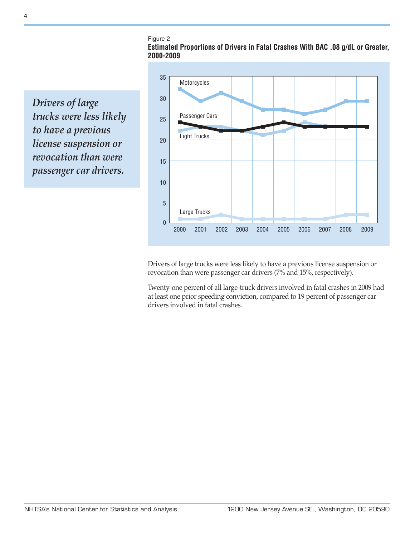Figure 2

**Estimated Proportions of Drivers in Fatal Crashes With BAC .08 g/dL or Greater, 2000-2009**

*Drivers of large trucks were less likely to have a previous license suspension or revocation than were passenger car drivers.*



Drivers of large trucks were less likely to have a previous license suspension or revocation than were passenger car drivers (7% and 15%, respectively).

Twenty-one percent of all large-truck drivers involved in fatal crashes in 2009 had at least one prior speeding conviction, compared to 19 percent of passenger car drivers involved in fatal crashes.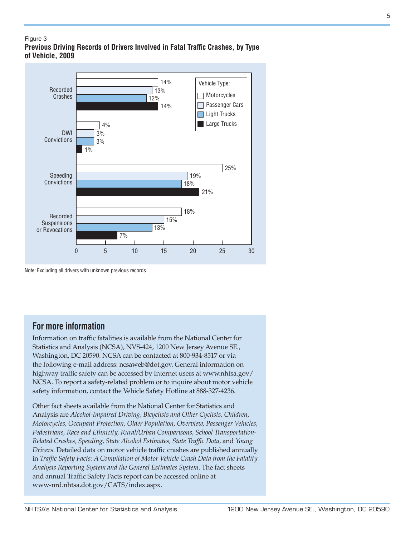#### Figure 3 **Previous Driving Records of Drivers Involved in Fatal Traffic Crashes, by Type of Vehicle, 2009**



Note: Excluding all drivers with unknown previous records

## **For more information**

Information on traffic fatalities is available from the National Center for Statistics and Analysis (NCSA), NVS-424, 1200 New Jersey Avenue SE., Washington, DC 20590. NCSA can be contacted at 800-934-8517 or via the following e-mail address: [ncsaweb@dot.gov](mailto:ncsaweb%40dot.gov?subject=ncsaweb%40dot.gov). General information on highway traffic safety can be accessed by Internet users at [www.nhtsa.gov/](www.nhtsa.gov/NCSA) [NCSA](www.nhtsa.gov/NCSA). To report a safety-related problem or to inquire about motor vehicle safety information, contact the Vehicle Safety Hotline at 888-327-4236.

Other fact sheets available from the National Center for Statistics and Analysis are *Alcohol-Impaired Driving, Bicyclists and Other Cyclists, Children, Motorcycles, Occupant Protection, Older Population, Overview, Passenger Vehicles, Pedestrians, Race and Ethnicity, Rural/Urban Comparisons, School Transportation-Related Crashes, Speeding, State Alcohol Estimates, State Traffic Data,* and *Young Drivers*. Detailed data on motor vehicle traffic crashes are published annually in *Traffic Safety Facts: A Compilation of Motor Vehicle Crash Data from the Fatality Analysis Reporting System and the General Estimates System*. The fact sheets and annual Traffic Safety Facts report can be accessed online at [www-nrd.nhtsa.dot.gov/CATS/index.aspx.](http://www-nrd.nhtsa.dot.gov/CATS/index.aspx)